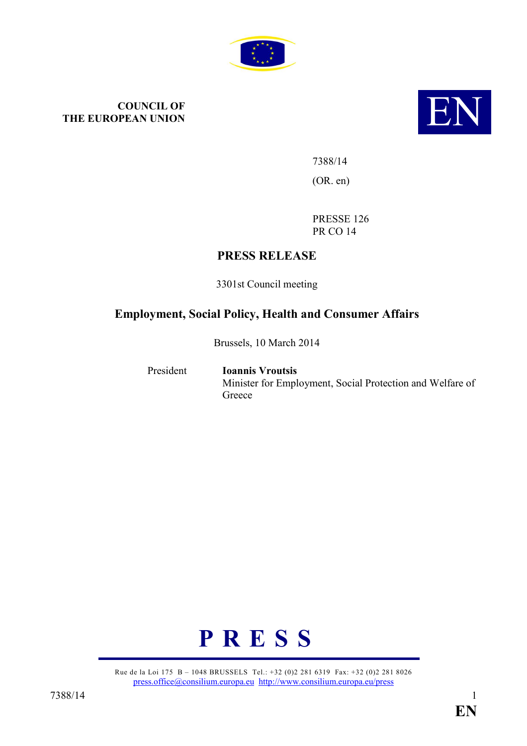

# **COUNCIL OF THE EUROPEAN UNION THE EUROPEAN UNION**



7388/14 (OR. en)

PRESSE 126 PR CO 14

## **PRESS RELEASE**

3301st Council meeting

## **Employment, Social Policy, Health and Consumer Affairs**

Brussels, 10 March 2014

President **Ioannis Vroutsis** Minister for Employment, Social Protection and Welfare of **Greece** 



Rue de la Loi 175 B – 1048 BRUSSELS Tel.: +32 (0)2 281 6319 Fax: +32 (0)2 281 8026 [press.office@consilium.europa.eu](mailto:press.office@consilium.europa.eu) <http://www.consilium.europa.eu/press>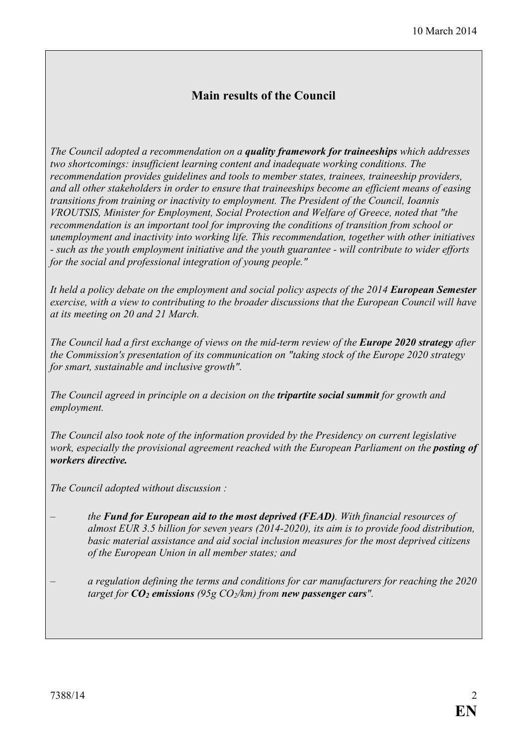## **Main results of the Council**

*The Council adopted a recommendation on a quality framework for traineeships which addresses two shortcomings: insufficient learning content and inadequate working conditions. The recommendation provides guidelines and tools to member states, trainees, traineeship providers, and all other stakeholders in order to ensure that traineeships become an efficient means of easing transitions from training or inactivity to employment. The President of the Council, Ioannis VROUTSIS, Minister for Employment, Social Protection and Welfare of Greece, noted that "the recommendation is an important tool for improving the conditions of transition from school or unemployment and inactivity into working life. This recommendation, together with other initiatives - such as the youth employment initiative and the youth guarantee - will contribute to wider efforts for the social and professional integration of young people."*

*It held a policy debate on the employment and social policy aspects of the 2014 European Semester exercise, with a view to contributing to the broader discussions that the European Council will have at its meeting on 20 and 21 March.* 

*The Council had a first exchange of views on the mid-term review of the Europe 2020 strategy after the Commission's presentation of its communication on "taking stock of the Europe 2020 strategy for smart, sustainable and inclusive growth".* 

*The Council agreed in principle on a decision on the tripartite social summit for growth and employment.* 

*The Council also took note of the information provided by the Presidency on current legislative work, especially the provisional agreement reached with the European Parliament on the posting of workers directive.* 

*The Council adopted without discussion :* 

- *the Fund for European aid to the most deprived (FEAD). With financial resources of almost EUR 3.5 billion for seven years (2014-2020), its aim is to provide food distribution, basic material assistance and aid social inclusion measures for the most deprived citizens of the European Union in all member states; and*
- *a regulation defining the terms and conditions for car manufacturers for reaching the 2020 target for CO2 emissions (95g CO2/km) from new passenger cars".*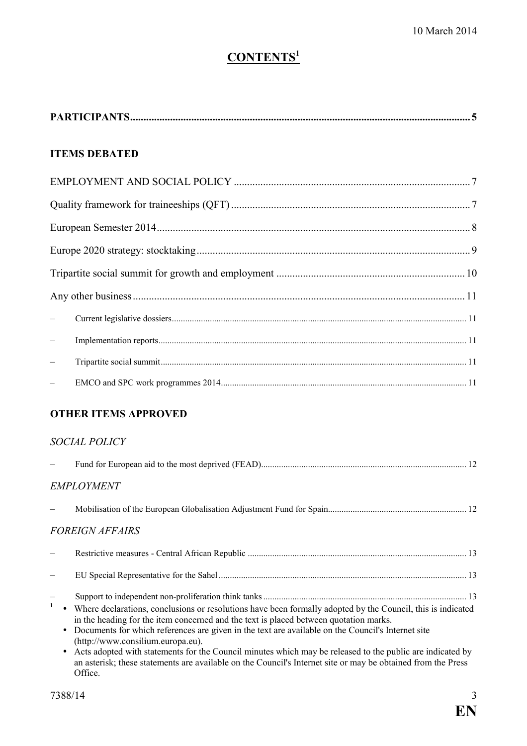## $$

|                          | <b>ITEMS DEBATED</b>                                                                                                                                                                                                                                                                                                                                                                                                                                        |  |  |
|--------------------------|-------------------------------------------------------------------------------------------------------------------------------------------------------------------------------------------------------------------------------------------------------------------------------------------------------------------------------------------------------------------------------------------------------------------------------------------------------------|--|--|
|                          |                                                                                                                                                                                                                                                                                                                                                                                                                                                             |  |  |
|                          |                                                                                                                                                                                                                                                                                                                                                                                                                                                             |  |  |
|                          |                                                                                                                                                                                                                                                                                                                                                                                                                                                             |  |  |
|                          |                                                                                                                                                                                                                                                                                                                                                                                                                                                             |  |  |
|                          |                                                                                                                                                                                                                                                                                                                                                                                                                                                             |  |  |
|                          |                                                                                                                                                                                                                                                                                                                                                                                                                                                             |  |  |
| $\overline{\phantom{0}}$ |                                                                                                                                                                                                                                                                                                                                                                                                                                                             |  |  |
| $\overline{\phantom{0}}$ |                                                                                                                                                                                                                                                                                                                                                                                                                                                             |  |  |
| $\equiv$                 |                                                                                                                                                                                                                                                                                                                                                                                                                                                             |  |  |
| $\overline{\phantom{a}}$ |                                                                                                                                                                                                                                                                                                                                                                                                                                                             |  |  |
|                          | <b>OTHER ITEMS APPROVED</b>                                                                                                                                                                                                                                                                                                                                                                                                                                 |  |  |
|                          | SOCIAL POLICY                                                                                                                                                                                                                                                                                                                                                                                                                                               |  |  |
|                          |                                                                                                                                                                                                                                                                                                                                                                                                                                                             |  |  |
|                          | <b>EMPLOYMENT</b>                                                                                                                                                                                                                                                                                                                                                                                                                                           |  |  |
|                          |                                                                                                                                                                                                                                                                                                                                                                                                                                                             |  |  |
|                          | <i>FOREIGN AFFAIRS</i>                                                                                                                                                                                                                                                                                                                                                                                                                                      |  |  |
|                          |                                                                                                                                                                                                                                                                                                                                                                                                                                                             |  |  |
|                          |                                                                                                                                                                                                                                                                                                                                                                                                                                                             |  |  |
| $\mathbf{1}$<br>٠        | Where declarations, conclusions or resolutions have been formally adopted by the Council, this is indicated<br>in the heading for the item concerned and the text is placed between quotation marks.<br>Documents for which references are given in the text are available on the Council's Internet site<br>(http://www.consilium.europa.eu).<br>Acts adopted with statements for the Council minutes which may be released to the public are indicated by |  |  |

an asterisk; these statements are available on the Council's Internet site or may be obtained from the Press Office.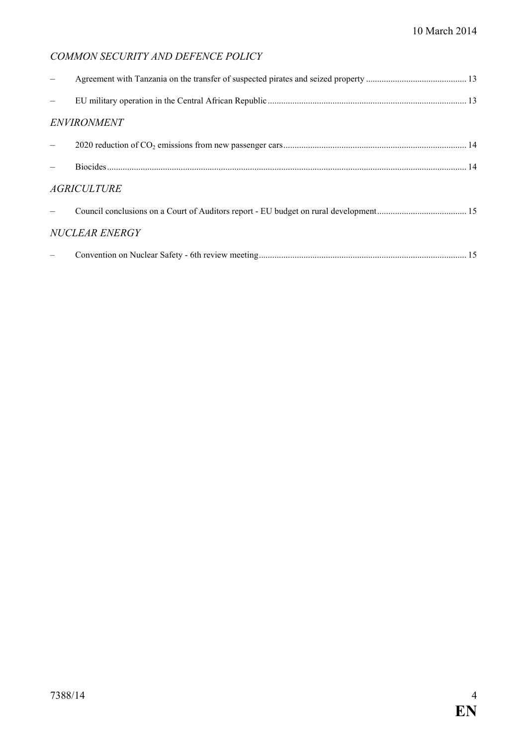## **COMMON SECURITY AND DEFENCE POLICY**

| <b>ENVIRONMENT</b>    |  |  |  |
|-----------------------|--|--|--|
|                       |  |  |  |
|                       |  |  |  |
| <b>AGRICULTURE</b>    |  |  |  |
|                       |  |  |  |
| <b>NUCLEAR ENERGY</b> |  |  |  |
|                       |  |  |  |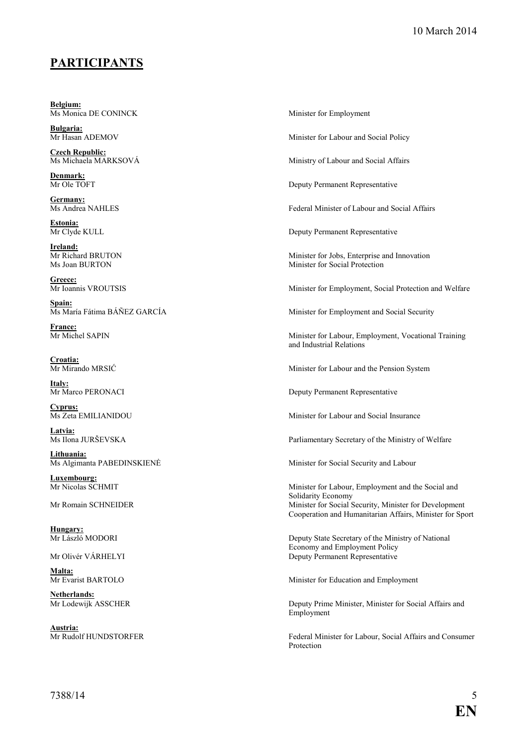## **PARTICIPATS**

**Belgium:**<br>Ms Monica DE CONINCK

**Bulgaria:**<br>Mr Hasan ADEMOV

**Czech Republic:**<br>Ms Michaela MARKSOVÁ

**Denmark:**<br>Mr Ole TOFT

**Germany:**<br>Ms Andrea NAHLES

**Estonia:**

**Ireland:**<br>Mr Richard BRUTON

Greece:<br>Mr Ioannis VROUTSIS

Spain:<br>Ms María Fátima BÁÑEZ GARCÍA

**France:**<br>Mr Michel SAPIN

**Croatia:**<br>Mr Mirando MRSIĆ

**Italy:**<br>Mr Marco PERONACI

**Cyprus:**

**Latvia:** 

**Lithuania:**<br>Ms Algimanta PABEDINSKIENĖ

**Luxembourg:**

**Hungary:**

**Malta:**<br>Mr Evarist BARTOLO

**Netherlands:**<br>Mr Lodewijk ASSCHER

**Austria:**<br>Mr Rudolf HUNDSTORFER

Minister for Employment

Minister for Labour and Social Policy

Ministry of Labour and Social Affairs

Deputy Permanent Representative

Federal Minister of Labour and Social Affairs

Deputy Permanent Representative

Mr Richard BRUTON Minister for Jobs, Enterprise and Innovation<br>Ms Joan BURTON Minister for Social Protection Minister for Social Protection

Minister for Employment, Social Protection and Welfare

Minister for Employment and Social Security

Minister for Labour, Employment, Vocational Training and Industrial Relations

Minister for Labour and the Pension System

Deputy Permanent Representative

Minister for Labour and Social Insurance

Parliamentary Secretary of the Ministry of Welfare

Minister for Social Security and Labour

Minister for Labour, Employment and the Social and Solidarity Economy Mr Romain SCHNEIDER Minister for Social Security, Minister for Development Cooperation and Humanitarian Affairs, Minister for Sport

Deputy State Secretary of the Ministry of National Economy and Employment Policy Mr Olivér VÁRHELYI Deputy Permanent Representative

Minister for Education and Employment

Deputy Prime Minister, Minister for Social Affairs and Employment

Federal Minister for Labour, Social Affairs and Consumer Protection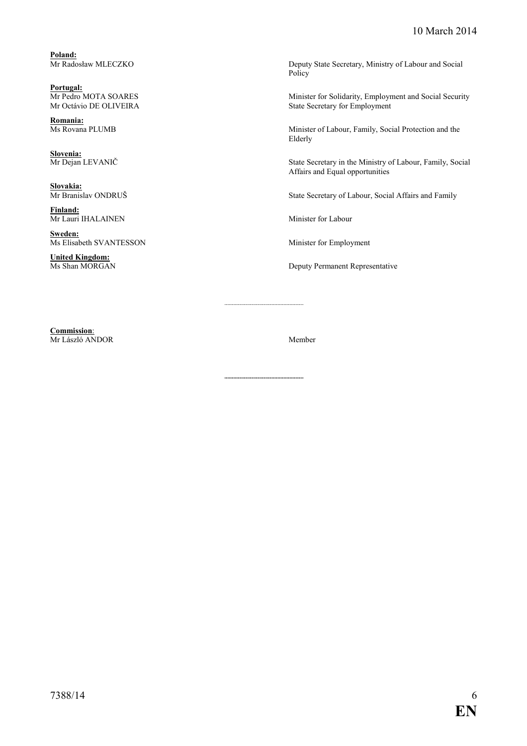**Poland:**

**Portugal:**<br>Mr Pedro MOTA SOARES

**Romania:**

**Slovenia:**<br>Mr Dejan LEVANIČ

**Slovakia:**

**Finland:** Mr Lauri IHALAINEN Minister for Labour

**Sweden:**<br>Ms Elisabeth SVANTESSON

**United Kingdom:**

Deputy State Secretary, Ministry of Labour and Social Policy

Mr Pedro MOTA SOARES Minister for Solidarity, Employment and Social Security<br>Mr Octávio DE OLIVEIRA State Secretary for Employment State Secretary for Employment

> Minister of Labour, Family, Social Protection and the Elderly

State Secretary in the Ministry of Labour, Family, Social Affairs and Equal opportunities

State Secretary of Labour, Social Affairs and Family

Minister for Employment

Deputy Permanent Representative

**Commission**: Mr László ANDOR Member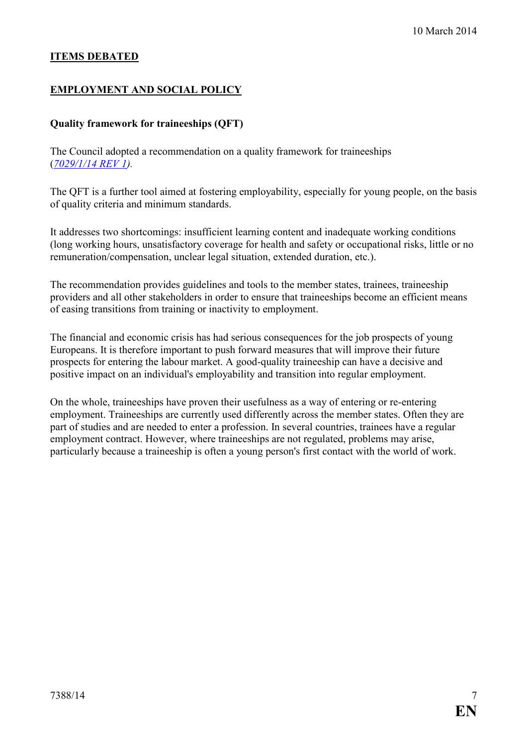#### **ITEMS DEBATED**

#### **EMPLOYMENT AND SOCIAL POLICY**

#### **Quality framework for traineeships (QFT)**

The Council adopted a recommendation on a quality framework for traineeships (*[7029/1/14 REV 1\)](http://register.consilium.europa.eu/pdf/en/14/st07/st07029-re01.en14.pdf).* 

The QFT is a further tool aimed at fostering employability, especially for young people, on the basis of quality criteria and minimum standards.

It addresses two shortcomings: insufficient learning content and inadequate working conditions (long working hours, unsatisfactory coverage for health and safety or occupational risks, little or no remuneration/compensation, unclear legal situation, extended duration, etc.).

The recommendation provides guidelines and tools to the member states, trainees, traineeship providers and all other stakeholders in order to ensure that traineeships become an efficient means of easing transitions from training or inactivity to employment.

The financial and economic crisis has had serious consequences for the job prospects of young Europeans. It is therefore important to push forward measures that will improve their future prospects for entering the labour market. A good-quality traineeship can have a decisive and positive impact on an individual's employability and transition into regular employment.

On the whole, traineeships have proven their usefulness as a way of entering or re-entering employment. Traineeships are currently used differently across the member states. Often they are part of studies and are needed to enter a profession. In several countries, trainees have a regular employment contract. However, where traineeships are not regulated, problems may arise, particularly because a traineeship is often a young person's first contact with the world of work.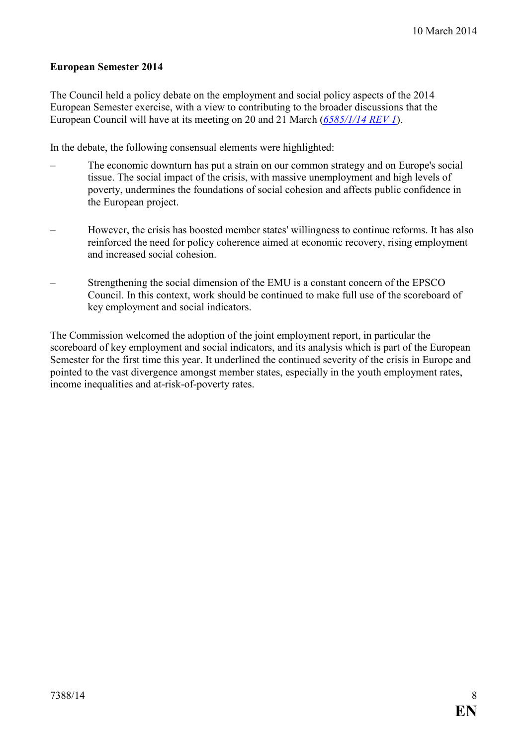#### **European Semester 2014**

The Council held a policy debate on the employment and social policy aspects of the 2014 European Semester exercise, with a view to contributing to the broader discussions that the European Council will have at its meeting on 20 and 21 March (*[6585/1/14 REV 1](http://register.consilium.europa.eu/pdf/en/14/st06/st06585-re01.en14.pdf)*).

In the debate, the following consensual elements were highlighted:

- The economic downturn has put a strain on our common strategy and on Europe's social tissue. The social impact of the crisis, with massive unemployment and high levels of poverty, undermines the foundations of social cohesion and affects public confidence in the European project.
- However, the crisis has boosted member states' willingness to continue reforms. It has also reinforced the need for policy coherence aimed at economic recovery, rising employment and increased social cohesion.
- Strengthening the social dimension of the EMU is a constant concern of the EPSCO Council. In this context, work should be continued to make full use of the scoreboard of key employment and social indicators.

The Commission welcomed the adoption of the joint employment report, in particular the scoreboard of key employment and social indicators, and its analysis which is part of the European Semester for the first time this year. It underlined the continued severity of the crisis in Europe and pointed to the vast divergence amongst member states, especially in the youth employment rates, income inequalities and at-risk-of-poverty rates.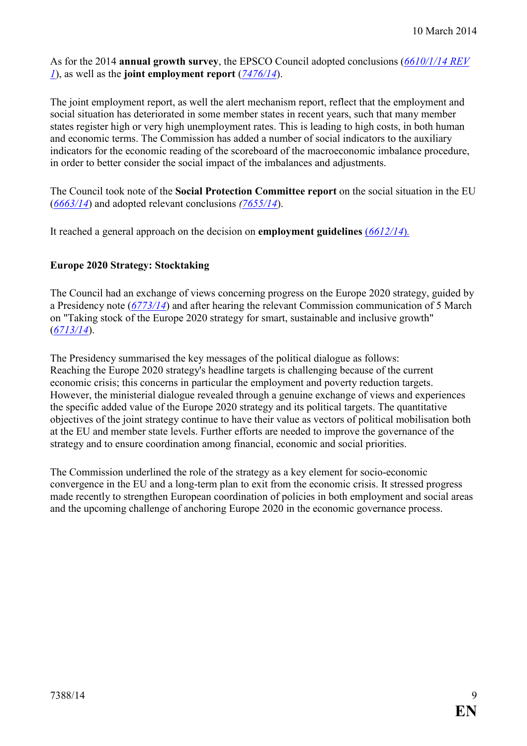As for the 2014 **annual growth survey**, the EPSCO Council adopted conclusions (*[6610/1/14 REV](http://register.consilium.europa.eu/pdf/en/14/st06/st06610-re01.en14.pdf) [1](http://register.consilium.europa.eu/pdf/en/14/st06/st06610-re01.en14.pdf)*), as well as the **joint employment report** (*[7476/14](http://register.consilium.europa.eu/pdf/en/14/st07/st07476.en14.pdf)*).

The joint employment report, as well the alert mechanism report, reflect that the employment and social situation has deteriorated in some member states in recent years, such that many member states register high or very high unemployment rates. This is leading to high costs, in both human and economic terms. The Commission has added a number of social indicators to the auxiliary indicators for the economic reading of the scoreboard of the macroeconomic imbalance procedure, in order to better consider the social impact of the imbalances and adjustments.

The Council took note of the **Social Protection Committee report** on the social situation in the EU (*[6663/14](http://register.consilium.europa.eu/pdf/en/14/st06/st06663.en14.pdf)*) and adopted relevant conclusions *[\(7655/14](http://register.consilium.europa.eu/pdf/en/14/st07/st07655.en14.pdf)*).

It reached a general approach on the decision on **employment guidelines** (*[6612/14](http://register.consilium.europa.eu/pdf/en/14/st06/st06612.en14.pdf)*)*.*

#### **Europe 2020 Strategy: Stocktaking**

The Council had an exchange of views concerning progress on the Europe 2020 strategy, guided by a Presidency note (*[6773/14](http://register.consilium.europa.eu/pdf/en/14/st06/st06773.en14.pdf)*) and after hearing the relevant Commission communication of 5 March on "Taking stock of the Europe 2020 strategy for smart, sustainable and inclusive growth" (*[6713/14](http://register.consilium.europa.eu/pdf/en/14/st06/st06713.en14.pdf)*).

The Presidency summarised the key messages of the political dialogue as follows: Reaching the Europe 2020 strategy's headline targets is challenging because of the current economic crisis; this concerns in particular the employment and poverty reduction targets. However, the ministerial dialogue revealed through a genuine exchange of views and experiences the specific added value of the Europe 2020 strategy and its political targets. The quantitative objectives of the joint strategy continue to have their value as vectors of political mobilisation both at the EU and member state levels. Further efforts are needed to improve the governance of the strategy and to ensure coordination among financial, economic and social priorities.

The Commission underlined the role of the strategy as a key element for socio-economic convergence in the EU and a long-term plan to exit from the economic crisis. It stressed progress made recently to strengthen European coordination of policies in both employment and social areas and the upcoming challenge of anchoring Europe 2020 in the economic governance process.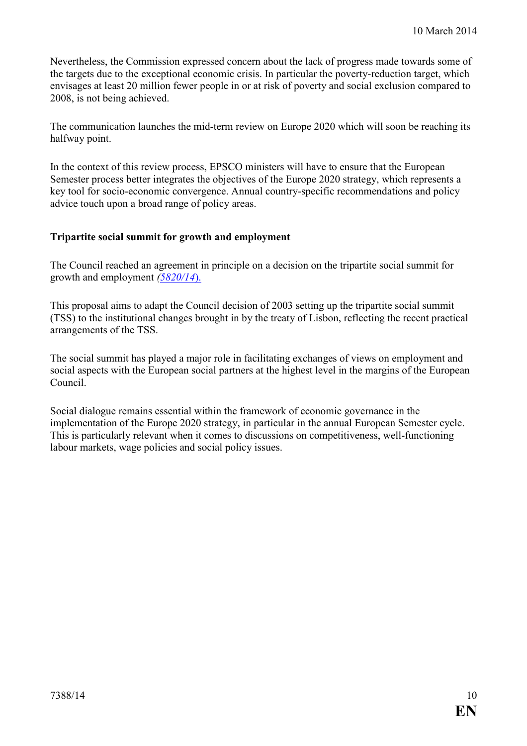Nevertheless, the Commission expressed concern about the lack of progress made towards some of the targets due to the exceptional economic crisis. In particular the poverty-reduction target, which envisages at least 20 million fewer people in or at risk of poverty and social exclusion compared to 2008, is not being achieved.

The communication launches the mid-term review on Europe 2020 which will soon be reaching its halfway point.

In the context of this review process, EPSCO ministers will have to ensure that the European Semester process better integrates the objectives of the Europe 2020 strategy, which represents a key tool for socio-economic convergence. Annual country-specific recommendations and policy advice touch upon a broad range of policy areas.

#### **Tripartite social summit for growth and employment**

The Council reached an agreement in principle on a decision on the tripartite social summit for growth and employment *([5820/14](http://register.consilium.europa.eu/pdf/en/14/st05/st05820.en14.pdf)*).

This proposal aims to adapt the Council decision of 2003 setting up the tripartite social summit (TSS) to the institutional changes brought in by the treaty of Lisbon, reflecting the recent practical arrangements of the TSS.

The social summit has played a major role in facilitating exchanges of views on employment and social aspects with the European social partners at the highest level in the margins of the European Council.

Social dialogue remains essential within the framework of economic governance in the implementation of the Europe 2020 strategy, in particular in the annual European Semester cycle. This is particularly relevant when it comes to discussions on competitiveness, well-functioning labour markets, wage policies and social policy issues.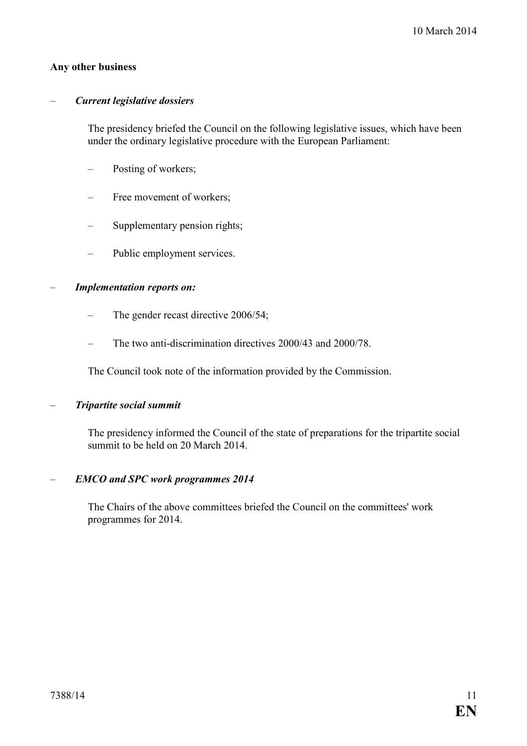#### **Any other business**

#### – *Current legislative dossiers*

 The presidency briefed the Council on the following legislative issues, which have been under the ordinary legislative procedure with the European Parliament:

- Posting of workers;
- Free movement of workers;
- Supplementary pension rights;
- Public employment services.

#### – *Implementation reports on:*

- The gender recast directive 2006/54;
- The two anti-discrimination directives 2000/43 and 2000/78.

The Council took note of the information provided by the Commission.

#### – *Tripartite social summit*

 The presidency informed the Council of the state of preparations for the tripartite social summit to be held on 20 March 2014.

#### – *EMCO and SPC work programmes 2014*

 The Chairs of the above committees briefed the Council on the committees' work programmes for 2014.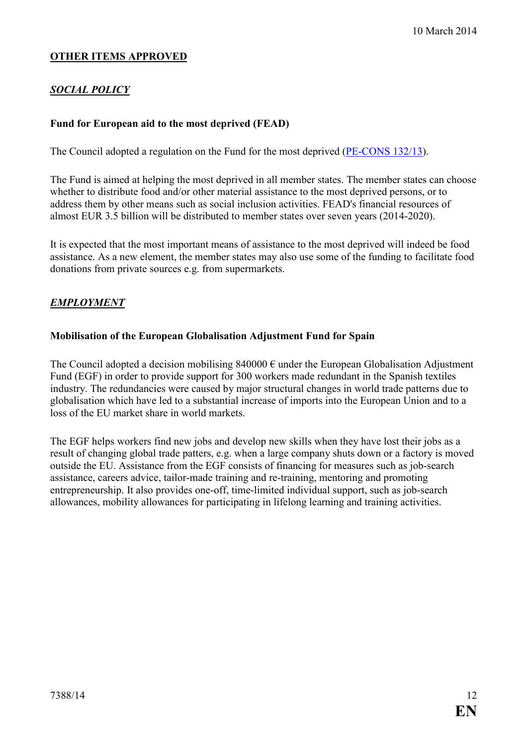#### **OTHER ITEMS APPROVED**

## *SOCIAL POLICY*

#### **Fund for European aid to the most deprived (FEAD)**

The Council adopted a regulation on the Fund for the most deprived ([PE-CONS 132/13\)](http://register.consilium.europa.eu/pdf/en/13/pe00/pe00132.en13.pdf).

The Fund is aimed at helping the most deprived in all member states. The member states can choose whether to distribute food and/or other material assistance to the most deprived persons, or to address them by other means such as social inclusion activities. FEAD's financial resources of almost EUR 3.5 billion will be distributed to member states over seven years (2014-2020).

It is expected that the most important means of assistance to the most deprived will indeed be food assistance. As a new element, the member states may also use some of the funding to facilitate food donations from private sources e.g. from supermarkets.

#### **EMPLOYMENT**

#### **Mobilisation of the European Globalisation Adjustment Fund for Spain**

The Council adopted a decision mobilising  $840000 \in \text{under the European Globalisation Adiustment}$ Fund (EGF) in order to provide support for 300 workers made redundant in the Spanish textiles industry. The redundancies were caused by major structural changes in world trade patterns due to globalisation which have led to a substantial increase of imports into the European Union and to a loss of the EU market share in world markets.

The EGF helps workers find new jobs and develop new skills when they have lost their jobs as a result of changing global trade patters, e.g. when a large company shuts down or a factory is moved outside the EU. Assistance from the EGF consists of financing for measures such as job-search assistance, careers advice, tailor-made training and re-training, mentoring and promoting entrepreneurship. It also provides one-off, time-limited individual support, such as job-search allowances, mobility allowances for participating in lifelong learning and training activities.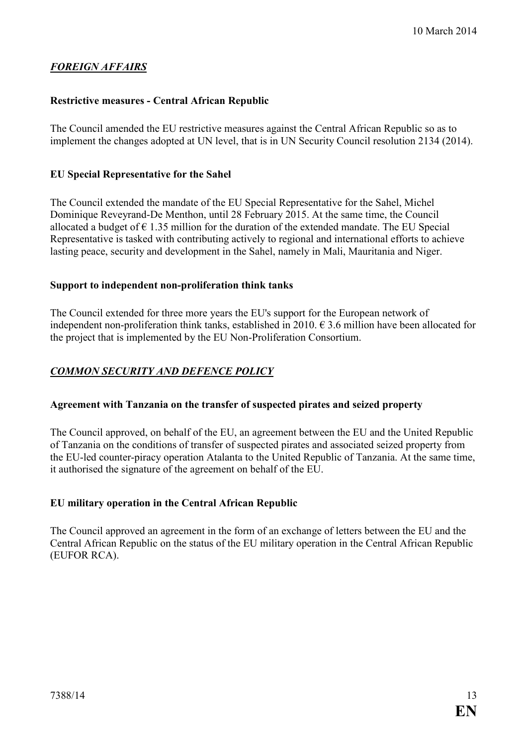## $FOREIGN AFFAIRS$

#### **Restrictive measures - Central African Republic**

The Council amended the EU restrictive measures against the Central African Republic so as to implement the changes adopted at UN level, that is in UN Security Council resolution 2134 (2014).

#### **EU Special Representative for the Sahel**

The Council extended the mandate of the EU Special Representative for the Sahel, Michel Dominique Reveyrand-De Menthon, until 28 February 2015. At the same time, the Council allocated a budget of  $\epsilon$  1.35 million for the duration of the extended mandate. The EU Special Representative is tasked with contributing actively to regional and international efforts to achieve lasting peace, security and development in the Sahel, namely in Mali, Mauritania and Niger.

#### **Support to independent non-proliferation think tanks**

The Council extended for three more years the EU's support for the European network of independent non-proliferation think tanks, established in 2010.  $\epsilon$  3.6 million have been allocated for the project that is implemented by the EU Non-Proliferation Consortium.

#### **COMMON SECURITY AND DEFENCE POLICY**

#### **Agreement with Tanzania on the transfer of suspected pirates and seized property**

The Council approved, on behalf of the EU, an agreement between the EU and the United Republic of Tanzania on the conditions of transfer of suspected pirates and associated seized property from the EU-led counter-piracy operation Atalanta to the United Republic of Tanzania. At the same time, it authorised the signature of the agreement on behalf of the EU.

#### **EU military operation in the Central African Republic**

The Council approved an agreement in the form of an exchange of letters between the EU and the Central African Republic on the status of the EU military operation in the Central African Republic (EUFOR RCA).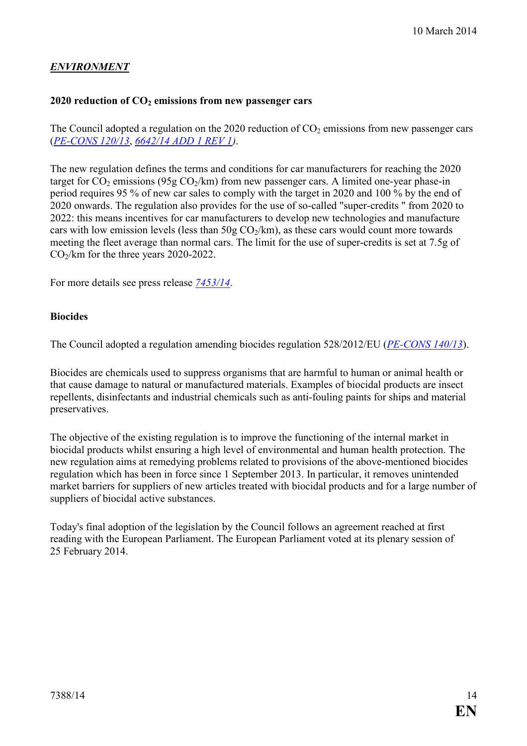## $E\text{-}\textit{IVI}$ RONMENT

#### **2020 reduction of CO2 emissions from new passenger cars**

The Council adopted a regulation on the 2020 reduction of  $CO<sub>2</sub>$  emissions from new passenger cars (*[PE-CO<S 120/13](http://register.consilium.europa.eu/pdf/en/13/pe00/pe00120.en13.pdf)*, *[6642/14 ADD 1 REV 1\)](http://register.consilium.europa.eu/pdf/en/14/st06/st06642-ad01re01.en14.pdf)*.

The new regulation defines the terms and conditions for car manufacturers for reaching the 2020 target for  $CO_2$  emissions (95g  $CO_2/km$ ) from new passenger cars. A limited one-year phase-in period requires 95 % of new car sales to comply with the target in 2020 and 100 % by the end of 2020 onwards. The regulation also provides for the use of so-called "super-credits " from 2020 to 2022: this means incentives for car manufacturers to develop new technologies and manufacture cars with low emission levels (less than  $50g \text{CO}_2/km$ ), as these cars would count more towards meeting the fleet average than normal cars. The limit for the use of super-credits is set at 7.5g of  $CO<sub>2</sub>/km$  for the three years 2020-2022.

For more details see press release *[7453/14](http://register.consilium.europa.eu/pdf/en/14/st07/st07453.en14.pdf)*.

#### **Biocides**

The Council adopted a regulation amending biocides regulation 528/2012/EU (*PE-CONS 140/13*).

Biocides are chemicals used to suppress organisms that are harmful to human or animal health or that cause damage to natural or manufactured materials. Examples of biocidal products are insect repellents, disinfectants and industrial chemicals such as anti-fouling paints for ships and material preservatives.

The objective of the existing regulation is to improve the functioning of the internal market in biocidal products whilst ensuring a high level of environmental and human health protection. The new regulation aims at remedying problems related to provisions of the above-mentioned biocides regulation which has been in force since 1 September 2013. In particular, it removes unintended market barriers for suppliers of new articles treated with biocidal products and for a large number of suppliers of biocidal active substances.

Today's final adoption of the legislation by the Council follows an agreement reached at first reading with the European Parliament. The European Parliament voted at its plenary session of 25 February 2014.